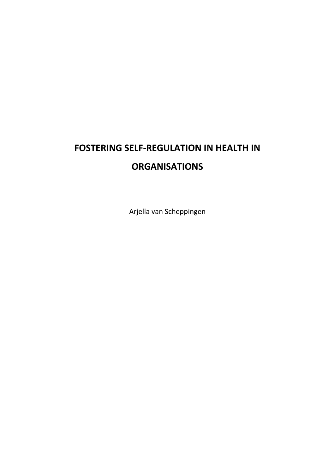## **FOSTERING SELF-REGULATION IN HEALTH IN ORGANISATIONS**

Arjella van Scheppingen